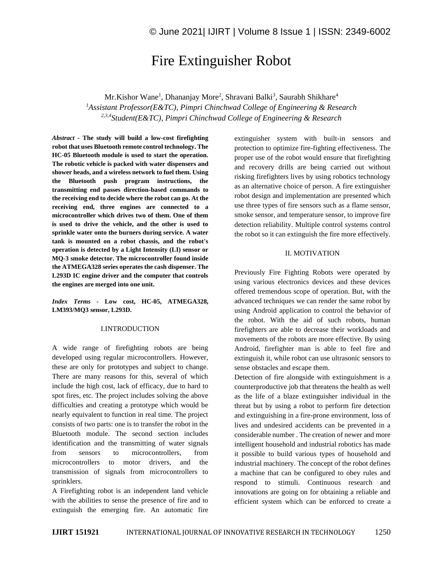# Fire Extinguisher Robot

Mr.Kishor Wane<sup>1</sup>, Dhananjay More<sup>2</sup>, Shravani Balki<sup>3</sup>, Saurabh Shikhare<sup>4</sup> *<sup>1</sup>Assistant Professor(E&TC), Pimpri Chinchwad College of Engineering & Research 2,3,4Student(E&TC), Pimpri Chinchwad College of Engineering & Research*

*Abstract -* **The study will build a low-cost firefighting robot that uses Bluetooth remote control technology. The HC-05 Bluetooth module is used to start the operation. The robotic vehicle is packed with water dispensers and shower heads, and a wireless network to fuel them. Using the Bluetooth push program instructions, the transmitting end passes direction-based commands to the receiving end to decide where the robot can go. At the receiving end, three engines are connected to a microcontroller which drives two of them. One of them is used to drive the vehicle, and the other is used to sprinkle water onto the burners during service. A water tank is mounted on a robot chassis, and the robot's operation is detected by a Light Intensity (LI) sensor or MQ-3 smoke detector. The microcontroller found inside the ATMEGA328 series operates the cash dispenser. The L293D IC engine driver and the computer that controls the engines are merged into one unit.**

*Index Terms -* **Low cost, HC-05, ATMEGA328, LM393/MQ3 sensor, L293D.**

## I.INTRODUCTION

A wide range of firefighting robots are being developed using regular microcontrollers. However, these are only for prototypes and subject to change. There are many reasons for this, several of which include the high cost, lack of efficacy, due to hard to spot fires, etc. The project includes solving the above difficulties and creating a prototype which would be nearly equivalent to function in real time. The project consists of two parts: one is to transfer the robot in the Bluetooth module. The second section includes identification and the transmitting of water signals from sensors to microcontrollers, from microcontrollers to motor drivers, and the transmission of signals from microcontrollers to sprinklers.

A Firefighting robot is an independent land vehicle with the abilities to sense the presence of fire and to extinguish the emerging fire. An automatic fire extinguisher system with built-in sensors and protection to optimize fire-fighting effectiveness. The proper use of the robot would ensure that firefighting and recovery drills are being carried out without risking firefighters lives by using robotics technology as an alternative choice of person. A fire extinguisher robot design and implementation are presented which use three types of fire sensors such as a flame sensor, smoke sensor, and temperature sensor, to improve fire detection reliability. Multiple control systems control the robot so it can extinguish the fire more effectively.

#### II. MOTIVATION

Previously Fire Fighting Robots were operated by using various electronics devices and these devices offered tremendous scope of operation. But, with the advanced techniques we can render the same robot by using Android application to control the behavior of the robot. With the aid of such robots, human firefighters are able to decrease their workloads and movements of the robots are more effective. By using Android, firefighter man is able to feel fire and extinguish it, while robot can use ultrasonic sensors to sense obstacles and escape them.

Detection of fire alongside with extinguishment is a counterproductive job that threatens the health as well as the life of a blaze extinguisher individual in the threat but by using a robot to perform fire detection and extinguishing in a fire-prone environment, loss of lives and undesired accidents can be prevented in a considerable number . The creation of newer and more intelligent household and industrial robotics has made it possible to build various types of household and industrial machinery. The concept of the robot defines a machine that can be configured to obey rules and respond to stimuli. Continuous research and innovations are going on for obtaining a reliable and efficient system which can be enforced to create a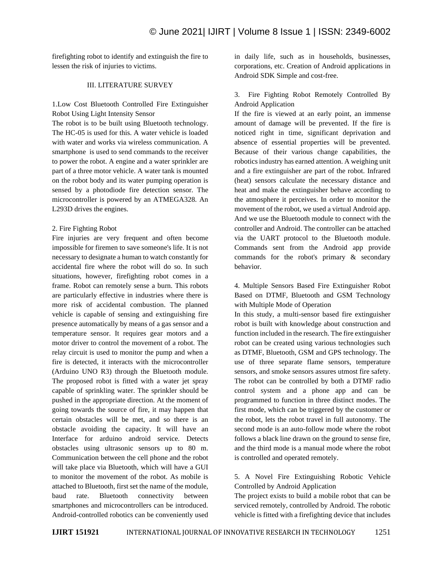firefighting robot to identify and extinguish the fire to lessen the risk of injuries to victims.

# III. LITERATURE SURVEY

1.Low Cost Bluetooth Controlled Fire Extinguisher Robot Using Light Intensity Sensor

The robot is to be built using Bluetooth technology. The HC-05 is used for this. A water vehicle is loaded with water and works via wireless communication. A smartphone is used to send commands to the receiver to power the robot. A engine and a water sprinkler are part of a three motor vehicle. A water tank is mounted on the robot body and its water pumping operation is sensed by a photodiode fire detection sensor. The microcontroller is powered by an ATMEGA328. An L293D drives the engines.

## 2. Fire Fighting Robot

Fire injuries are very frequent and often become impossible for firemen to save someone's life. It is not necessary to designate a human to watch constantly for accidental fire where the robot will do so. In such situations, however, firefighting robot comes in a frame. Robot can remotely sense a burn. This robots are particularly effective in industries where there is more risk of accidental combustion. The planned vehicle is capable of sensing and extinguishing fire presence automatically by means of a gas sensor and a temperature sensor. It requires gear motors and a motor driver to control the movement of a robot. The relay circuit is used to monitor the pump and when a fire is detected, it interacts with the microcontroller (Arduino UNO R3) through the Bluetooth module. The proposed robot is fitted with a water jet spray capable of sprinkling water. The sprinkler should be pushed in the appropriate direction. At the moment of going towards the source of fire, it may happen that certain obstacles will be met, and so there is an obstacle avoiding the capacity. It will have an Interface for arduino android service. Detects obstacles using ultrasonic sensors up to 80 m. Communication between the cell phone and the robot will take place via Bluetooth, which will have a GUI to monitor the movement of the robot. As mobile is attached to Bluetooth, first set the name of the module, baud rate. Bluetooth connectivity between smartphones and microcontrollers can be introduced. Android-controlled robotics can be conveniently used in daily life, such as in households, businesses, corporations, etc. Creation of Android applications in Android SDK Simple and cost-free.

# 3. Fire Fighting Robot Remotely Controlled By Android Application

If the fire is viewed at an early point, an immense amount of damage will be prevented. If the fire is noticed right in time, significant deprivation and absence of essential properties will be prevented. Because of their various change capabilities, the robotics industry has earned attention. A weighing unit and a fire extinguisher are part of the robot. Infrared (heat) sensors calculate the necessary distance and heat and make the extinguisher behave according to the atmosphere it perceives. In order to monitor the movement of the robot, we used a virtual Android app. And we use the Bluetooth module to connect with the controller and Android. The controller can be attached via the UART protocol to the Bluetooth module. Commands sent from the Android app provide commands for the robot's primary & secondary behavior.

4. Multiple Sensors Based Fire Extinguisher Robot Based on DTMF, Bluetooth and GSM Technology with Multiple Mode of Operation

In this study, a multi-sensor based fire extinguisher robot is built with knowledge about construction and function included in the research. The fire extinguisher robot can be created using various technologies such as DTMF, Bluetooth, GSM and GPS technology. The use of three separate flame sensors, temperature sensors, and smoke sensors assures utmost fire safety. The robot can be controlled by both a DTMF radio control system and a phone app and can be programmed to function in three distinct modes. The first mode, which can be triggered by the customer or the robot, lets the robot travel in full autonomy. The second mode is an auto-follow mode where the robot follows a black line drawn on the ground to sense fire, and the third mode is a manual mode where the robot is controlled and operated remotely.

# 5. A Novel Fire Extinguishing Robotic Vehicle Controlled by Android Application

The project exists to build a mobile robot that can be serviced remotely, controlled by Android. The robotic vehicle is fitted with a firefighting device that includes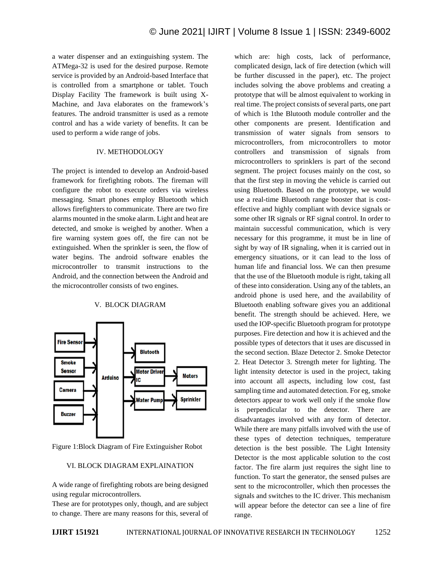a water dispenser and an extinguishing system. The ATMega-32 is used for the desired purpose. Remote service is provided by an Android-based Interface that is controlled from a smartphone or tablet. Touch Display Facility The framework is built using X-Machine, and Java elaborates on the framework's features. The android transmitter is used as a remote control and has a wide variety of benefits. It can be used to perform a wide range of jobs.

## IV. METHODOLOGY

The project is intended to develop an Android-based framework for firefighting robots. The fireman will configure the robot to execute orders via wireless messaging. Smart phones employ Bluetooth which allows firefighters to communicate. There are two fire alarms mounted in the smoke alarm. Light and heat are detected, and smoke is weighed by another. When a fire warning system goes off, the fire can not be extinguished. When the sprinkler is seen, the flow of water begins. The android software enables the microcontroller to transmit instructions to the Android, and the connection between the Android and the microcontroller consists of two engines.

## V. BLOCK DIAGRAM



Figure 1:Block Diagram of Fire Extinguisher Robot

## VI. BLOCK DIAGRAM EXPLAINATION

A wide range of firefighting robots are being designed using regular microcontrollers.

These are for prototypes only, though, and are subject to change. There are many reasons for this, several of which are: high costs, lack of performance, complicated design, lack of fire detection (which will be further discussed in the paper), etc. The project includes solving the above problems and creating a prototype that will be almost equivalent to working in real time. The project consists of several parts, one part of which is 1the Blutooth module controller and the other components are present. Identification and transmission of water signals from sensors to microcontrollers, from microcontrollers to motor controllers and transmission of signals from microcontrollers to sprinklers is part of the second segment. The project focuses mainly on the cost, so that the first step in moving the vehicle is carried out using Bluetooth. Based on the prototype, we would use a real-time Bluetooth range booster that is costeffective and highly compliant with device signals or some other IR signals or RF signal control. In order to maintain successful communication, which is very necessary for this programme, it must be in line of sight by way of IR signaling, when it is carried out in emergency situations, or it can lead to the loss of human life and financial loss. We can then presume that the use of the Bluetooth module is right, taking all of these into consideration. Using any of the tablets, an android phone is used here, and the availability of Bluetooth enabling software gives you an additional benefit. The strength should be achieved. Here, we used the IOP-specific Bluetooth program for prototype purposes. Fire detection and how it is achieved and the possible types of detectors that it uses are discussed in the second section. Blaze Detector 2. Smoke Detector 2. Heat Detector 3. Strength meter for lighting. The light intensity detector is used in the project, taking into account all aspects, including low cost, fast sampling time and automated detection. For eg, smoke detectors appear to work well only if the smoke flow is perpendicular to the detector. There are disadvantages involved with any form of detector. While there are many pitfalls involved with the use of these types of detection techniques, temperature detection is the best possible. The Light Intensity Detector is the most applicable solution to the cost factor. The fire alarm just requires the sight line to function. To start the generator, the sensed pulses are sent to the microcontroller, which then processes the signals and switches to the IC driver. This mechanism will appear before the detector can see a line of fire range.